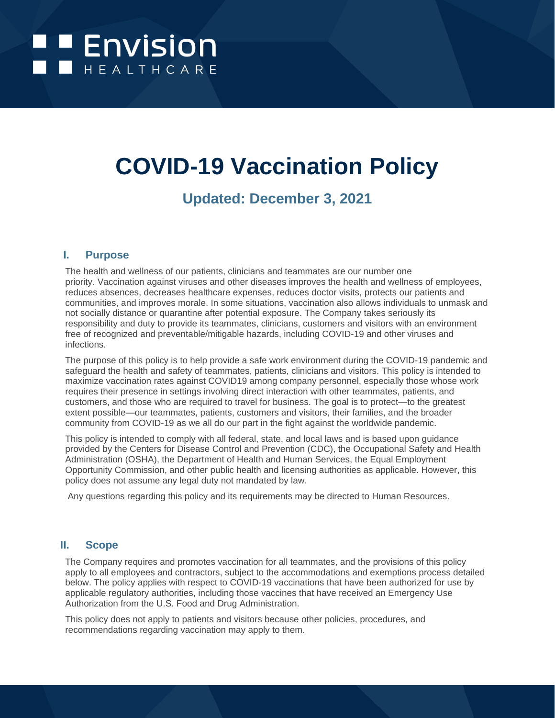# **EXPENDISION**

## **COVID-19 Vaccination Policy**

### **Updated: December 3, 2021**

#### **I. Purpose**

The health and wellness of our patients, clinicians and teammates are our number one priority. Vaccination against viruses and other diseases improves the health and wellness of employees, reduces absences, decreases healthcare expenses, reduces doctor visits, protects our patients and communities, and improves morale. In some situations, vaccination also allows individuals to unmask and not socially distance or quarantine after potential exposure. The Company takes seriously its responsibility and duty to provide its teammates, clinicians, customers and visitors with an environment free of recognized and preventable/mitigable hazards, including COVID-19 and other viruses and infections.

The purpose of this policy is to help provide a safe work environment during the COVID-19 pandemic and safeguard the health and safety of teammates, patients, clinicians and visitors. This policy is intended to maximize vaccination rates against COVID19 among company personnel, especially those whose work requires their presence in settings involving direct interaction with other teammates, patients, and customers, and those who are required to travel for business. The goal is to protect—to the greatest extent possible—our teammates, patients, customers and visitors, their families, and the broader community from COVID-19 as we all do our part in the fight against the worldwide pandemic.

This policy is intended to comply with all federal, state, and local laws and is based upon guidance provided by the Centers for Disease Control and Prevention (CDC), the Occupational Safety and Health Administration (OSHA), the Department of Health and Human Services, the Equal Employment Opportunity Commission, and other public health and licensing authorities as applicable. However, this policy does not assume any legal duty not mandated by law.

Any questions regarding this policy and its requirements may be directed to Human Resources.

#### **II. Scope**

The Company requires and promotes vaccination for all teammates, and the provisions of this policy apply to all employees and contractors, subject to the accommodations and exemptions process detailed below. The policy applies with respect to COVID-19 vaccinations that have been authorized for use by applicable regulatory authorities, including those vaccines that have received an Emergency Use Authorization from the U.S. Food and Drug Administration.

This policy does not apply to patients and visitors because other policies, procedures, and recommendations regarding vaccination may apply to them.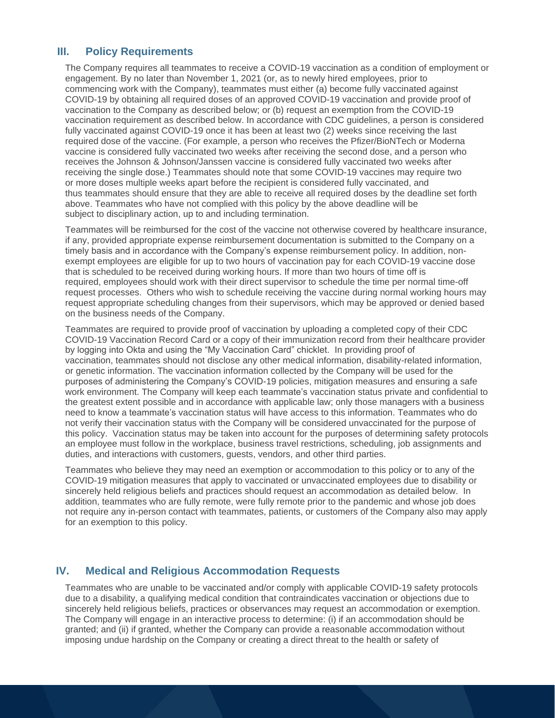#### **III. Policy Requirements**

The Company requires all teammates to receive a COVID-19 vaccination as a condition of employment or engagement. By no later than November 1, 2021 (or, as to newly hired employees, prior to commencing work with the Company), teammates must either (a) become fully vaccinated against COVID-19 by obtaining all required doses of an approved COVID-19 vaccination and provide proof of vaccination to the Company as described below; or (b) request an exemption from the COVID-19 vaccination requirement as described below. In accordance with CDC guidelines, a person is considered fully vaccinated against COVID-19 once it has been at least two (2) weeks since receiving the last required dose of the vaccine. (For example, a person who receives the Pfizer/BioNTech or Moderna vaccine is considered fully vaccinated two weeks after receiving the second dose, and a person who receives the Johnson & Johnson/Janssen vaccine is considered fully vaccinated two weeks after receiving the single dose.) Teammates should note that some COVID-19 vaccines may require two or more doses multiple weeks apart before the recipient is considered fully vaccinated, and thus teammates should ensure that they are able to receive all required doses by the deadline set forth above. Teammates who have not complied with this policy by the above deadline will be subject to disciplinary action, up to and including termination.

Teammates will be reimbursed for the cost of the vaccine not otherwise covered by healthcare insurance, if any, provided appropriate expense reimbursement documentation is submitted to the Company on a timely basis and in accordance with the Company's expense reimbursement policy. In addition, nonexempt employees are eligible for up to two hours of vaccination pay for each COVID-19 vaccine dose that is scheduled to be received during working hours. If more than two hours of time off is required, employees should work with their direct supervisor to schedule the time per normal time-off request processes. Others who wish to schedule receiving the vaccine during normal working hours may request appropriate scheduling changes from their supervisors, which may be approved or denied based on the business needs of the Company.

Teammates are required to provide proof of vaccination by uploading a completed copy of their CDC COVID-19 Vaccination Record Card or a copy of their immunization record from their healthcare provider by logging into Okta and using the "My Vaccination Card" chicklet. In providing proof of vaccination, teammates should not disclose any other medical information, disability-related information, or genetic information. The vaccination information collected by the Company will be used for the purposes of administering the Company's COVID-19 policies, mitigation measures and ensuring a safe work environment. The Company will keep each teammate's vaccination status private and confidential to the greatest extent possible and in accordance with applicable law; only those managers with a business need to know a teammate's vaccination status will have access to this information. Teammates who do not verify their vaccination status with the Company will be considered unvaccinated for the purpose of this policy. Vaccination status may be taken into account for the purposes of determining safety protocols an employee must follow in the workplace, business travel restrictions, scheduling, job assignments and duties, and interactions with customers, guests, vendors, and other third parties.

Teammates who believe they may need an exemption or accommodation to this policy or to any of the COVID-19 mitigation measures that apply to vaccinated or unvaccinated employees due to disability or sincerely held religious beliefs and practices should request an accommodation as detailed below. In addition, teammates who are fully remote, were fully remote prior to the pandemic and whose job does not require any in-person contact with teammates, patients, or customers of the Company also may apply for an exemption to this policy.

#### **IV. Medical and Religious Accommodation Requests**

Teammates who are unable to be vaccinated and/or comply with applicable COVID-19 safety protocols due to a disability, a qualifying medical condition that contraindicates vaccination or objections due to sincerely held religious beliefs, practices or observances may request an accommodation or exemption. The Company will engage in an interactive process to determine: (i) if an accommodation should be granted; and (ii) if granted, whether the Company can provide a reasonable accommodation without imposing undue hardship on the Company or creating a direct threat to the health or safety of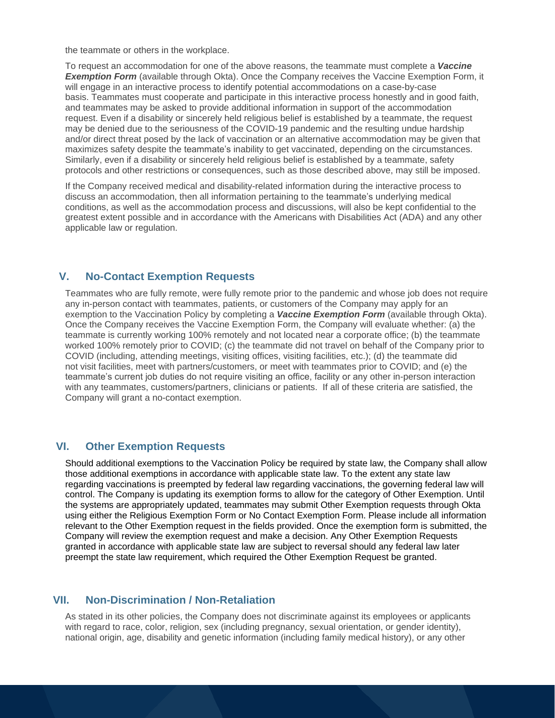the teammate or others in the workplace.

To request an accommodation for one of the above reasons, the teammate must complete a *Vaccine*  **Exemption Form** (available through Okta). Once the Company receives the Vaccine Exemption Form, it will engage in an interactive process to identify potential accommodations on a case-by-case basis. Teammates must cooperate and participate in this interactive process honestly and in good faith, and teammates may be asked to provide additional information in support of the accommodation request. Even if a disability or sincerely held religious belief is established by a teammate, the request may be denied due to the seriousness of the COVID-19 pandemic and the resulting undue hardship and/or direct threat posed by the lack of vaccination or an alternative accommodation may be given that maximizes safety despite the teammate's inability to get vaccinated, depending on the circumstances. Similarly, even if a disability or sincerely held religious belief is established by a teammate, safety protocols and other restrictions or consequences, such as those described above, may still be imposed.

If the Company received medical and disability-related information during the interactive process to discuss an accommodation, then all information pertaining to the teammate's underlying medical conditions, as well as the accommodation process and discussions, will also be kept confidential to the greatest extent possible and in accordance with the Americans with Disabilities Act (ADA) and any other applicable law or regulation.

#### **V. No-Contact Exemption Requests**

Teammates who are fully remote, were fully remote prior to the pandemic and whose job does not require any in-person contact with teammates, patients, or customers of the Company may apply for an exemption to the Vaccination Policy by completing a *Vaccine Exemption Form* (available through Okta). Once the Company receives the Vaccine Exemption Form, the Company will evaluate whether: (a) the teammate is currently working 100% remotely and not located near a corporate office; (b) the teammate worked 100% remotely prior to COVID; (c) the teammate did not travel on behalf of the Company prior to COVID (including, attending meetings, visiting offices, visiting facilities, etc.); (d) the teammate did not visit facilities, meet with partners/customers, or meet with teammates prior to COVID; and (e) the teammate's current job duties do not require visiting an office, facility or any other in-person interaction with any teammates, customers/partners, clinicians or patients. If all of these criteria are satisfied, the Company will grant a no-contact exemption.

#### **VI. Other Exemption Requests**

Should additional exemptions to the Vaccination Policy be required by state law, the Company shall allow those additional exemptions in accordance with applicable state law. To the extent any state law regarding vaccinations is preempted by federal law regarding vaccinations, the governing federal law will control. The Company is updating its exemption forms to allow for the category of Other Exemption. Until the systems are appropriately updated, teammates may submit Other Exemption requests through Okta using either the Religious Exemption Form or No Contact Exemption Form. Please include all information relevant to the Other Exemption request in the fields provided. Once the exemption form is submitted, the Company will review the exemption request and make a decision. Any Other Exemption Requests granted in accordance with applicable state law are subject to reversal should any federal law later preempt the state law requirement, which required the Other Exemption Request be granted.

#### **VII. Non-Discrimination / Non-Retaliation**

As stated in its other policies, the Company does not discriminate against its employees or applicants with regard to race, color, religion, sex (including pregnancy, sexual orientation, or gender identity), national origin, age, disability and genetic information (including family medical history), or any other